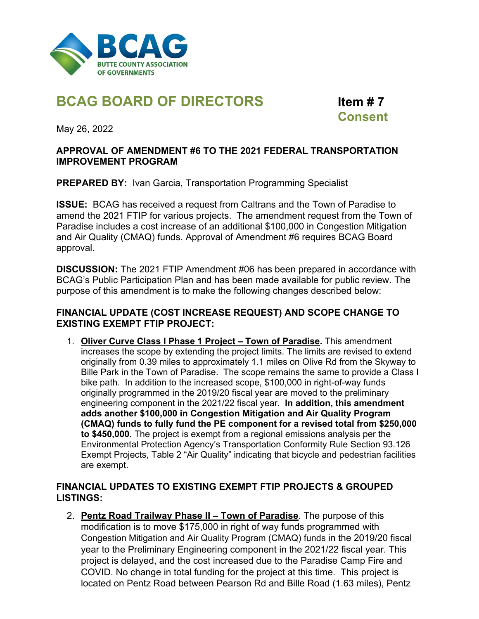

# **BCAG BOARD OF DIRECTORS Item # 7**

 **Consent** 

May 26, 2022

### **APPROVAL OF AMENDMENT #6 TO THE 2021 FEDERAL TRANSPORTATION IMPROVEMENT PROGRAM**

**PREPARED BY: Ivan Garcia, Transportation Programming Specialist** 

**ISSUE:** BCAG has received a request from Caltrans and the Town of Paradise to amend the 2021 FTIP for various projects. The amendment request from the Town of Paradise includes a cost increase of an additional \$100,000 in Congestion Mitigation and Air Quality (CMAQ) funds. Approval of Amendment #6 requires BCAG Board approval.

**DISCUSSION:** The 2021 FTIP Amendment #06 has been prepared in accordance with BCAG's Public Participation Plan and has been made available for public review. The purpose of this amendment is to make the following changes described below:

## **FINANCIAL UPDATE (COST INCREASE REQUEST) AND SCOPE CHANGE TO EXISTING EXEMPT FTIP PROJECT:**

1. **Oliver Curve Class I Phase 1 Project – Town of Paradise.** This amendment increases the scope by extending the project limits. The limits are revised to extend originally from 0.39 miles to approximately 1.1 miles on Olive Rd from the Skyway to Bille Park in the Town of Paradise. The scope remains the same to provide a Class I bike path. In addition to the increased scope, \$100,000 in right-of-way funds originally programmed in the 2019/20 fiscal year are moved to the preliminary engineering component in the 2021/22 fiscal year. **In addition, this amendment adds another \$100,000 in Congestion Mitigation and Air Quality Program (CMAQ) funds to fully fund the PE component for a revised total from \$250,000 to \$450,000.** The project is exempt from a regional emissions analysis per the Environmental Protection Agency's Transportation Conformity Rule Section 93.126 Exempt Projects, Table 2 "Air Quality" indicating that bicycle and pedestrian facilities are exempt.

## **FINANCIAL UPDATES TO EXISTING EXEMPT FTIP PROJECTS & GROUPED LISTINGS:**

2. **Pentz Road Trailway Phase II – Town of Paradise**. The purpose of this modification is to move \$175,000 in right of way funds programmed with Congestion Mitigation and Air Quality Program (CMAQ) funds in the 2019/20 fiscal year to the Preliminary Engineering component in the 2021/22 fiscal year. This project is delayed, and the cost increased due to the Paradise Camp Fire and COVID. No change in total funding for the project at this time. This project is located on Pentz Road between Pearson Rd and Bille Road (1.63 miles), Pentz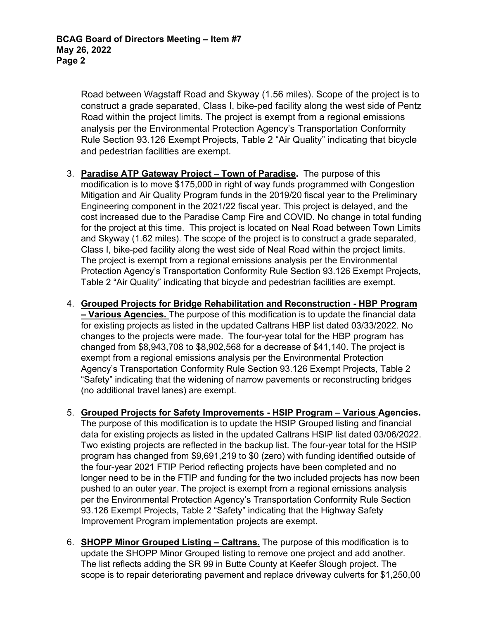Road between Wagstaff Road and Skyway (1.56 miles). Scope of the project is to construct a grade separated, Class I, bike-ped facility along the west side of Pentz Road within the project limits. The project is exempt from a regional emissions analysis per the Environmental Protection Agency's Transportation Conformity Rule Section 93.126 Exempt Projects, Table 2 "Air Quality" indicating that bicycle and pedestrian facilities are exempt.

- 3. **Paradise ATP Gateway Project Town of Paradise.** The purpose of this modification is to move \$175,000 in right of way funds programmed with Congestion Mitigation and Air Quality Program funds in the 2019/20 fiscal year to the Preliminary Engineering component in the 2021/22 fiscal year. This project is delayed, and the cost increased due to the Paradise Camp Fire and COVID. No change in total funding for the project at this time. This project is located on Neal Road between Town Limits and Skyway (1.62 miles). The scope of the project is to construct a grade separated, Class I, bike-ped facility along the west side of Neal Road within the project limits. The project is exempt from a regional emissions analysis per the Environmental Protection Agency's Transportation Conformity Rule Section 93.126 Exempt Projects, Table 2 "Air Quality" indicating that bicycle and pedestrian facilities are exempt.
- 4. **Grouped Projects for Bridge Rehabilitation and Reconstruction HBP Program – Various Agencies.** The purpose of this modification is to update the financial data for existing projects as listed in the updated Caltrans HBP list dated 03/33/2022. No changes to the projects were made. The four-year total for the HBP program has changed from \$8,943,708 to \$8,902,568 for a decrease of \$41,140. The project is exempt from a regional emissions analysis per the Environmental Protection Agency's Transportation Conformity Rule Section 93.126 Exempt Projects, Table 2 "Safety" indicating that the widening of narrow pavements or reconstructing bridges (no additional travel lanes) are exempt.
- 5. **Grouped Projects for Safety Improvements HSIP Program Various Agencies.**  The purpose of this modification is to update the HSIP Grouped listing and financial data for existing projects as listed in the updated Caltrans HSIP list dated 03/06/2022. Two existing projects are reflected in the backup list. The four-year total for the HSIP program has changed from \$9,691,219 to \$0 (zero) with funding identified outside of the four-year 2021 FTIP Period reflecting projects have been completed and no longer need to be in the FTIP and funding for the two included projects has now been pushed to an outer year. The project is exempt from a regional emissions analysis per the Environmental Protection Agency's Transportation Conformity Rule Section 93.126 Exempt Projects, Table 2 "Safety" indicating that the Highway Safety Improvement Program implementation projects are exempt.
- 6. **SHOPP Minor Grouped Listing Caltrans.** The purpose of this modification is to update the SHOPP Minor Grouped listing to remove one project and add another. The list reflects adding the SR 99 in Butte County at Keefer Slough project. The scope is to repair deteriorating pavement and replace driveway culverts for \$1,250,00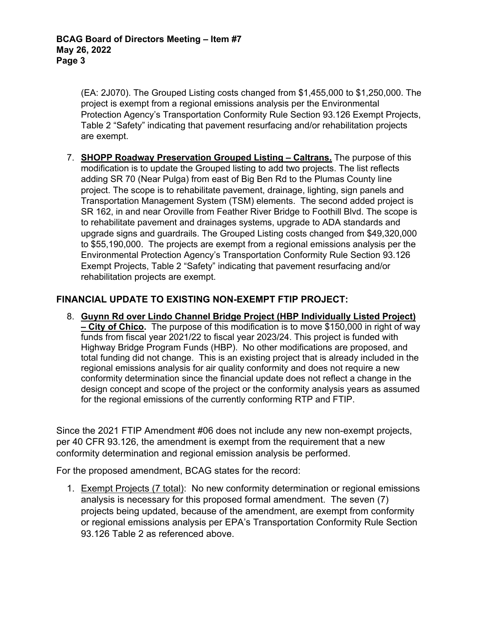(EA: 2J070). The Grouped Listing costs changed from \$1,455,000 to \$1,250,000. The project is exempt from a regional emissions analysis per the Environmental Protection Agency's Transportation Conformity Rule Section 93.126 Exempt Projects, Table 2 "Safety" indicating that pavement resurfacing and/or rehabilitation projects are exempt.

7. **SHOPP Roadway Preservation Grouped Listing – Caltrans.** The purpose of this modification is to update the Grouped listing to add two projects. The list reflects adding SR 70 (Near Pulga) from east of Big Ben Rd to the Plumas County line project. The scope is to rehabilitate pavement, drainage, lighting, sign panels and Transportation Management System (TSM) elements. The second added project is SR 162, in and near Oroville from Feather River Bridge to Foothill Blvd. The scope is to rehabilitate pavement and drainages systems, upgrade to ADA standards and upgrade signs and guardrails. The Grouped Listing costs changed from \$49,320,000 to \$55,190,000. The projects are exempt from a regional emissions analysis per the Environmental Protection Agency's Transportation Conformity Rule Section 93.126 Exempt Projects, Table 2 "Safety" indicating that pavement resurfacing and/or rehabilitation projects are exempt.

## **FINANCIAL UPDATE TO EXISTING NON-EXEMPT FTIP PROJECT:**

8. **Guynn Rd over Lindo Channel Bridge Project (HBP Individually Listed Project) – City of Chico.** The purpose of this modification is to move \$150,000 in right of way funds from fiscal year 2021/22 to fiscal year 2023/24. This project is funded with Highway Bridge Program Funds (HBP). No other modifications are proposed, and total funding did not change. This is an existing project that is already included in the regional emissions analysis for air quality conformity and does not require a new conformity determination since the financial update does not reflect a change in the design concept and scope of the project or the conformity analysis years as assumed for the regional emissions of the currently conforming RTP and FTIP.

Since the 2021 FTIP Amendment #06 does not include any new non-exempt projects, per 40 CFR 93.126, the amendment is exempt from the requirement that a new conformity determination and regional emission analysis be performed.

For the proposed amendment, BCAG states for the record:

1. Exempt Projects (7 total): No new conformity determination or regional emissions analysis is necessary for this proposed formal amendment. The seven (7) projects being updated, because of the amendment, are exempt from conformity or regional emissions analysis per EPA's Transportation Conformity Rule Section 93.126 Table 2 as referenced above.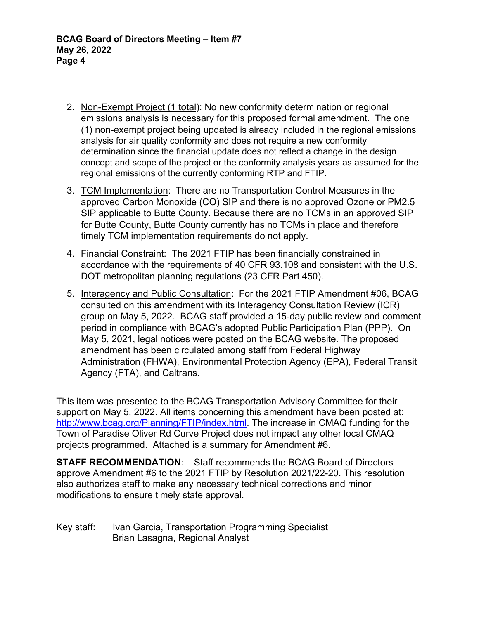- 2. Non-Exempt Project (1 total): No new conformity determination or regional emissions analysis is necessary for this proposed formal amendment. The one (1) non-exempt project being updated is already included in the regional emissions analysis for air quality conformity and does not require a new conformity determination since the financial update does not reflect a change in the design concept and scope of the project or the conformity analysis years as assumed for the regional emissions of the currently conforming RTP and FTIP.
- 3. TCM Implementation: There are no Transportation Control Measures in the approved Carbon Monoxide (CO) SIP and there is no approved Ozone or PM2.5 SIP applicable to Butte County. Because there are no TCMs in an approved SIP for Butte County, Butte County currently has no TCMs in place and therefore timely TCM implementation requirements do not apply.
- 4. Financial Constraint: The 2021 FTIP has been financially constrained in accordance with the requirements of 40 CFR 93.108 and consistent with the U.S. DOT metropolitan planning regulations (23 CFR Part 450).
- 5. Interagency and Public Consultation: For the 2021 FTIP Amendment #06, BCAG consulted on this amendment with its Interagency Consultation Review (ICR) group on May 5, 2022. BCAG staff provided a 15-day public review and comment period in compliance with BCAG's adopted Public Participation Plan (PPP). On May 5, 2021, legal notices were posted on the BCAG website. The proposed amendment has been circulated among staff from Federal Highway Administration (FHWA), Environmental Protection Agency (EPA), Federal Transit Agency (FTA), and Caltrans.

This item was presented to the BCAG Transportation Advisory Committee for their support on May 5, 2022. All items concerning this amendment have been posted at: http://www.bcag.org/Planning/FTIP/index.html. The increase in CMAQ funding for the Town of Paradise Oliver Rd Curve Project does not impact any other local CMAQ projects programmed. Attached is a summary for Amendment #6.

**STAFF RECOMMENDATION**: Staff recommends the BCAG Board of Directors approve Amendment #6 to the 2021 FTIP by Resolution 2021/22-20. This resolution also authorizes staff to make any necessary technical corrections and minor modifications to ensure timely state approval.

Key staff: Ivan Garcia, Transportation Programming Specialist Brian Lasagna, Regional Analyst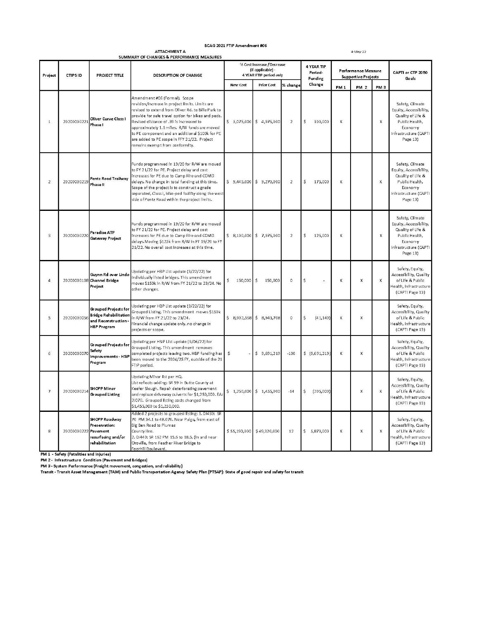#### BCAG 2021 FTIP Amendment #06

 ${\bf \small ATTACHMENT\;A}$ 

4-May-22

|                |                |                                                                                                           | SUMMARY OF CHANGES & PERFORMANCE MEASURES                                                                                                                                                                                                                                                                                                                                                                                    |                                              | % Cost Increase / Decrease |                | 4 YEAR TIP         |                                                   |                 |                 |                                                                                                                                  |
|----------------|----------------|-----------------------------------------------------------------------------------------------------------|------------------------------------------------------------------------------------------------------------------------------------------------------------------------------------------------------------------------------------------------------------------------------------------------------------------------------------------------------------------------------------------------------------------------------|----------------------------------------------|----------------------------|----------------|--------------------|---------------------------------------------------|-----------------|-----------------|----------------------------------------------------------------------------------------------------------------------------------|
| Project        | <b>CTIPSID</b> | <b>PROJECT TITLE</b>                                                                                      | <b>DESCRIPTION OF CHANGE</b>                                                                                                                                                                                                                                                                                                                                                                                                 | (if applicable) -<br>4 YEAR FTIP period only |                            |                | Period-<br>Funding | Performance Measure<br><b>Supportive Projects</b> |                 |                 | CAPTI or CTP 2050<br>Goals                                                                                                       |
|                |                |                                                                                                           |                                                                                                                                                                                                                                                                                                                                                                                                                              | <b>New Cost</b>                              | <b>Prior Cost</b>          | % change       | Change             | PM <sub>1</sub>                                   | PM <sub>2</sub> | PM <sub>3</sub> |                                                                                                                                  |
| $\overline{1}$ | 20200000221    | Oliver Curve Class I<br>Phase I                                                                           | Amendment #06 (Formal). Scope<br>revision/increase in project limits. Limits are<br>revised to extend from Oliver Rd. to Bille Park to<br>provide for safe travel option for bikes and peds.<br>Revised distance of .39 is increased to<br>approximately 1.1 miles. R/W funds are moved<br>to PE component and an additional \$100k for PE<br>are added to PE scope in FFY 21/22. Project<br>remains exempt from conformity. | $$5,075,000$ $$4,975,000$                    |                            | $\overline{2}$ | 100,000<br>\$      | X                                                 |                 | X               | Safety, Climate<br>Equity, Accessibility,<br>Quality of Life &<br>Public Health,<br>Economy<br>Infrastructure (CAPTI<br>Page 13) |
| 2              | 20200000219    | Pentz Road Trailway<br>Phase II                                                                           | Funds programmed in 19/20 for R/W are moved<br>to FY 21/22 for PE. Project delay and cost<br>Increases for PE due to Camp Fire and COVID<br>delays. No change in total funding at this time.<br>Scope of the project is to construct a grade<br>separated, Class I, bike-ped facility along the west<br>side of Pentz Road within the project limits.                                                                        |                                              | $$9,445,000$ $$9,270,000$  | 2              | 175,000<br>Ś       | X                                                 |                 | X               | Safety, Climate<br>Equity, Accessibility,<br>Quality of Life &<br>Public Health,<br>Economy<br>Infrastructure (CAPTI<br>Page 13) |
| $_{3}$         | 20200000220    | Paradise ATP<br><b>Gateway Project</b>                                                                    | Funds programmed in 19/20 for R/W are moved<br>to FY 21/22 for PE. Project delay and cost<br>increases for PE due to Camp Fire and COVID<br>delays. Moving \$125k from R/W in FY 19/20 to FY<br>21/22. No overall cost increases at this time.                                                                                                                                                                               | $$8,100,000$ \$7,975,000                     |                            | $\mathbf 2$    | \$<br>125,000      | X                                                 |                 | X               | Safety, Climate<br>Equity, Accessibility,<br>Quality of Life &<br>Public Health,<br>Economy<br>Infrastructure (CAPTI<br>Page 13) |
| $\overline{4}$ | 20200000108    | Guynn Rd over Lindo<br>Channel Bridge<br>Project                                                          | Updating per HBP List update (3/22/22) for<br>individually listed bridges. This amendment<br>moves \$150k in R/W from FY 21/22 to 23/24. No<br>other changes.                                                                                                                                                                                                                                                                | \$<br>150,000                                | <b>S</b><br>150,000        | $\mathbf 0$    | Ś                  | X                                                 | X               | X               | Safety, Equity,<br>Accessibility, Quality<br>of Life & Public<br>Health, Infrastructure<br>(CAPTI Page 13)                       |
| 5              | 20200000056    | <b>Grouped Projects for</b><br><b>Bridge Rehabilitation</b><br>and Reconstruction -<br><b>HBP Program</b> | Updating per HBP List update (3/22/22) for<br>Grouped Listing. This amendment moves \$150k<br>in R/W from FY 21/22 to 23/24.<br>Financial change update only, no change in<br>projects or scope.                                                                                                                                                                                                                             | $$8,902,568$ $$8,943,708$                    |                            | $\,0\,$        | \$<br>(41, 140)    | X                                                 | X               |                 | Safety, Equity,<br>Accessibility, Quality<br>of Life & Public<br>Health, Infrastructure<br>(CAPTI Page 13)                       |
| 6              | 20200000070    | Grouped Projects for<br>Safety<br>Improvements - HSIP<br>Program                                          | Updating per HSIP List update (3/06/22) for<br>Grouped Listing. This amendment removes<br>completed projects leaving two. HBP funding has<br>been moved to the 2024/25 FY, outside of the 21<br>FTIP period.                                                                                                                                                                                                                 | \$                                           | \$9,691,219                | $-100$         | \$(9,691,219)      | x                                                 | X               |                 | Safety, Equity,<br>Accessibility, Quality<br>of Life & Public<br>Health, Infrastructure<br>(CAPTI Page 13)                       |
| $\overline{7}$ | 20200000214    | SHOPP Minor<br><b>Grouped Listing</b>                                                                     | Updating Minor list per HQ.<br>List reflects adding: SR 99 in Butte County at<br>Keefer Slough. Repair deteriorating pavement<br>and replace driveway culverts for \$1,250,000. EA:<br>2J070. Grouped listing costs changed from<br>\$1,455,000 to \$1,250,000.                                                                                                                                                              |                                              | $$1,250,000$ $$1,455,000$  | $-14$          | \$<br>(205,000)    |                                                   | X               | $\mathsf{x}$    | Safety, Equity,<br>Accessibility, Quality<br>of Life & Public<br>Health, Infrastructure<br>(CAPTI Page 13)                       |
| 8              | 20200000222    | SHOPP Roadway<br>Preservation:<br>Pavement<br>resurfacing and/or<br>rehabilitation                        | Added 2 projects to grouped listing: 1.0J430: SR<br>70 PM 34.1 to 48.076. Near Pulga, from east of<br>Big Ben Road to Plumas<br>County line.<br>2. 0J440: SR 162 PM 15.6 to 18.5. (In and near<br>Oroville, from Feather River Bridge to<br>Foothill Boulevard.                                                                                                                                                              | \$55,190,000 \$49,320,000                    |                            | 12             | Ś.<br>5,870,000    | X                                                 | X               | X               | Safety, Equity,<br>Accessibility, Quality<br>of Life & Public<br>lealth, Infrastructure<br>(CAPTI Page 13)                       |

Foothill Boulevard.<br>
PM 1 - Safety (Fatalities and Injuries)<br>
PM 2 - Infrastructure Condition (Pavement and Bridges)<br>
PM 3 - System Performance (Freight movement, congestion, and reliability)<br>
Transit - Transit Asset Manag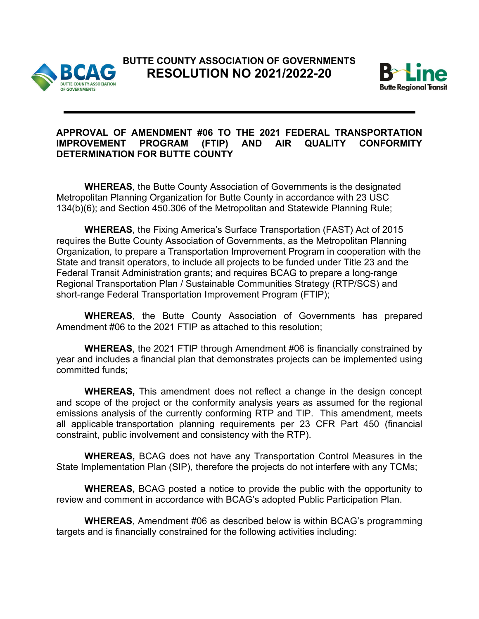



## **APPROVAL OF AMENDMENT #06 TO THE 2021 FEDERAL TRANSPORTATION IMPROVEMENT PROGRAM (FTIP) AND AIR QUALITY CONFORMITY DETERMINATION FOR BUTTE COUNTY**

**WHEREAS**, the Butte County Association of Governments is the designated Metropolitan Planning Organization for Butte County in accordance with 23 USC 134(b)(6); and Section 450.306 of the Metropolitan and Statewide Planning Rule;

**WHEREAS**, the Fixing America's Surface Transportation (FAST) Act of 2015 requires the Butte County Association of Governments, as the Metropolitan Planning Organization, to prepare a Transportation Improvement Program in cooperation with the State and transit operators, to include all projects to be funded under Title 23 and the Federal Transit Administration grants; and requires BCAG to prepare a long-range Regional Transportation Plan / Sustainable Communities Strategy (RTP/SCS) and short-range Federal Transportation Improvement Program (FTIP);

**WHEREAS**, the Butte County Association of Governments has prepared Amendment #06 to the 2021 FTIP as attached to this resolution;

**WHEREAS**, the 2021 FTIP through Amendment #06 is financially constrained by year and includes a financial plan that demonstrates projects can be implemented using committed funds;

 **WHEREAS,** This amendment does not reflect a change in the design concept and scope of the project or the conformity analysis years as assumed for the regional emissions analysis of the currently conforming RTP and TIP. This amendment, meets all applicable transportation planning requirements per 23 CFR Part 450 (financial constraint, public involvement and consistency with the RTP).

**WHEREAS,** BCAG does not have any Transportation Control Measures in the State Implementation Plan (SIP), therefore the projects do not interfere with any TCMs;

**WHEREAS,** BCAG posted a notice to provide the public with the opportunity to review and comment in accordance with BCAG's adopted Public Participation Plan.

**WHEREAS**, Amendment #06 as described below is within BCAG's programming targets and is financially constrained for the following activities including: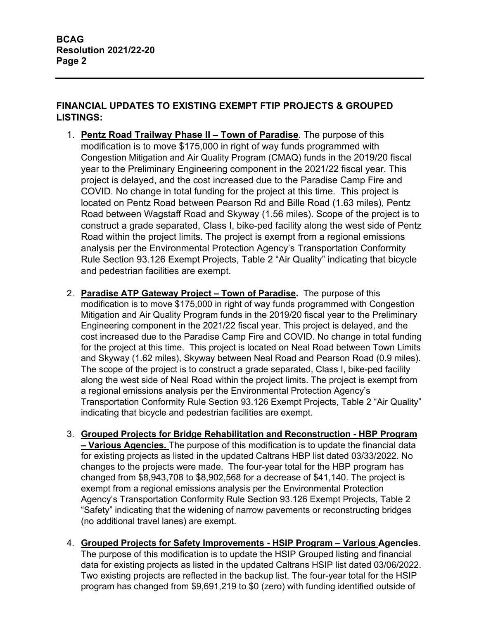# **FINANCIAL UPDATES TO EXISTING EXEMPT FTIP PROJECTS & GROUPED LISTINGS:**

- 1. **Pentz Road Trailway Phase II Town of Paradise**. The purpose of this modification is to move \$175,000 in right of way funds programmed with Congestion Mitigation and Air Quality Program (CMAQ) funds in the 2019/20 fiscal year to the Preliminary Engineering component in the 2021/22 fiscal year. This project is delayed, and the cost increased due to the Paradise Camp Fire and COVID. No change in total funding for the project at this time. This project is located on Pentz Road between Pearson Rd and Bille Road (1.63 miles), Pentz Road between Wagstaff Road and Skyway (1.56 miles). Scope of the project is to construct a grade separated, Class I, bike-ped facility along the west side of Pentz Road within the project limits. The project is exempt from a regional emissions analysis per the Environmental Protection Agency's Transportation Conformity Rule Section 93.126 Exempt Projects, Table 2 "Air Quality" indicating that bicycle and pedestrian facilities are exempt.
- 2. **Paradise ATP Gateway Project Town of Paradise.** The purpose of this modification is to move \$175,000 in right of way funds programmed with Congestion Mitigation and Air Quality Program funds in the 2019/20 fiscal year to the Preliminary Engineering component in the 2021/22 fiscal year. This project is delayed, and the cost increased due to the Paradise Camp Fire and COVID. No change in total funding for the project at this time. This project is located on Neal Road between Town Limits and Skyway (1.62 miles), Skyway between Neal Road and Pearson Road (0.9 miles). The scope of the project is to construct a grade separated, Class I, bike-ped facility along the west side of Neal Road within the project limits. The project is exempt from a regional emissions analysis per the Environmental Protection Agency's Transportation Conformity Rule Section 93.126 Exempt Projects, Table 2 "Air Quality" indicating that bicycle and pedestrian facilities are exempt.
- 3. **Grouped Projects for Bridge Rehabilitation and Reconstruction HBP Program – Various Agencies.** The purpose of this modification is to update the financial data for existing projects as listed in the updated Caltrans HBP list dated 03/33/2022. No changes to the projects were made. The four-year total for the HBP program has changed from \$8,943,708 to \$8,902,568 for a decrease of \$41,140. The project is exempt from a regional emissions analysis per the Environmental Protection Agency's Transportation Conformity Rule Section 93.126 Exempt Projects, Table 2 "Safety" indicating that the widening of narrow pavements or reconstructing bridges (no additional travel lanes) are exempt.
- 4. **Grouped Projects for Safety Improvements HSIP Program Various Agencies.**  The purpose of this modification is to update the HSIP Grouped listing and financial data for existing projects as listed in the updated Caltrans HSIP list dated 03/06/2022. Two existing projects are reflected in the backup list. The four-year total for the HSIP program has changed from \$9,691,219 to \$0 (zero) with funding identified outside of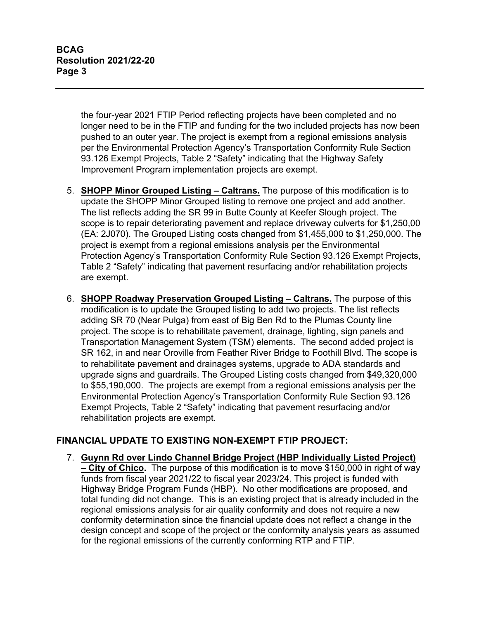the four-year 2021 FTIP Period reflecting projects have been completed and no longer need to be in the FTIP and funding for the two included projects has now been pushed to an outer year. The project is exempt from a regional emissions analysis per the Environmental Protection Agency's Transportation Conformity Rule Section 93.126 Exempt Projects, Table 2 "Safety" indicating that the Highway Safety Improvement Program implementation projects are exempt.

- 5. **SHOPP Minor Grouped Listing Caltrans.** The purpose of this modification is to update the SHOPP Minor Grouped listing to remove one project and add another. The list reflects adding the SR 99 in Butte County at Keefer Slough project. The scope is to repair deteriorating pavement and replace driveway culverts for \$1,250,00 (EA: 2J070). The Grouped Listing costs changed from \$1,455,000 to \$1,250,000. The project is exempt from a regional emissions analysis per the Environmental Protection Agency's Transportation Conformity Rule Section 93.126 Exempt Projects, Table 2 "Safety" indicating that pavement resurfacing and/or rehabilitation projects are exempt.
- 6. **SHOPP Roadway Preservation Grouped Listing Caltrans.** The purpose of this modification is to update the Grouped listing to add two projects. The list reflects adding SR 70 (Near Pulga) from east of Big Ben Rd to the Plumas County line project. The scope is to rehabilitate pavement, drainage, lighting, sign panels and Transportation Management System (TSM) elements. The second added project is SR 162, in and near Oroville from Feather River Bridge to Foothill Blvd. The scope is to rehabilitate pavement and drainages systems, upgrade to ADA standards and upgrade signs and guardrails. The Grouped Listing costs changed from \$49,320,000 to \$55,190,000. The projects are exempt from a regional emissions analysis per the Environmental Protection Agency's Transportation Conformity Rule Section 93.126 Exempt Projects, Table 2 "Safety" indicating that pavement resurfacing and/or rehabilitation projects are exempt.

### **FINANCIAL UPDATE TO EXISTING NON-EXEMPT FTIP PROJECT:**

7. **Guynn Rd over Lindo Channel Bridge Project (HBP Individually Listed Project) – City of Chico.** The purpose of this modification is to move \$150,000 in right of way funds from fiscal year 2021/22 to fiscal year 2023/24. This project is funded with Highway Bridge Program Funds (HBP). No other modifications are proposed, and total funding did not change. This is an existing project that is already included in the regional emissions analysis for air quality conformity and does not require a new conformity determination since the financial update does not reflect a change in the design concept and scope of the project or the conformity analysis years as assumed for the regional emissions of the currently conforming RTP and FTIP.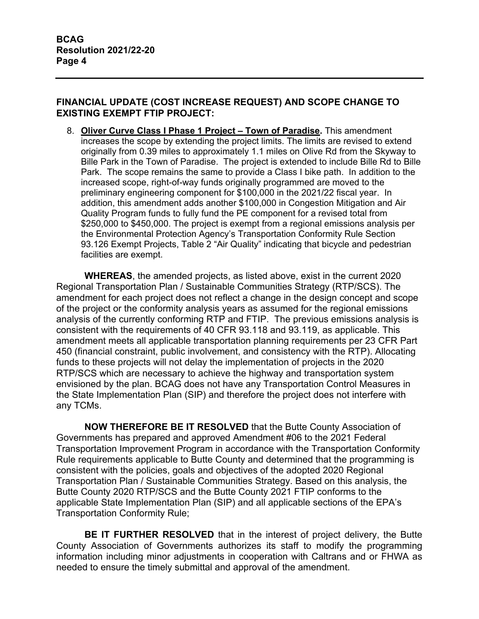## **FINANCIAL UPDATE (COST INCREASE REQUEST) AND SCOPE CHANGE TO EXISTING EXEMPT FTIP PROJECT:**

8. **Oliver Curve Class I Phase 1 Project – Town of Paradise.** This amendment increases the scope by extending the project limits. The limits are revised to extend originally from 0.39 miles to approximately 1.1 miles on Olive Rd from the Skyway to Bille Park in the Town of Paradise. The project is extended to include Bille Rd to Bille Park. The scope remains the same to provide a Class I bike path. In addition to the increased scope, right-of-way funds originally programmed are moved to the preliminary engineering component for \$100,000 in the 2021/22 fiscal year. In addition, this amendment adds another \$100,000 in Congestion Mitigation and Air Quality Program funds to fully fund the PE component for a revised total from \$250,000 to \$450,000. The project is exempt from a regional emissions analysis per the Environmental Protection Agency's Transportation Conformity Rule Section 93.126 Exempt Projects, Table 2 "Air Quality" indicating that bicycle and pedestrian facilities are exempt.

**WHEREAS**, the amended projects, as listed above, exist in the current 2020 Regional Transportation Plan / Sustainable Communities Strategy (RTP/SCS). The amendment for each project does not reflect a change in the design concept and scope of the project or the conformity analysis years as assumed for the regional emissions analysis of the currently conforming RTP and FTIP. The previous emissions analysis is consistent with the requirements of 40 CFR 93.118 and 93.119, as applicable. This amendment meets all applicable transportation planning requirements per 23 CFR Part 450 (financial constraint, public involvement, and consistency with the RTP). Allocating funds to these projects will not delay the implementation of projects in the 2020 RTP/SCS which are necessary to achieve the highway and transportation system envisioned by the plan. BCAG does not have any Transportation Control Measures in the State Implementation Plan (SIP) and therefore the project does not interfere with any TCMs.

**NOW THEREFORE BE IT RESOLVED** that the Butte County Association of Governments has prepared and approved Amendment #06 to the 2021 Federal Transportation Improvement Program in accordance with the Transportation Conformity Rule requirements applicable to Butte County and determined that the programming is consistent with the policies, goals and objectives of the adopted 2020 Regional Transportation Plan / Sustainable Communities Strategy. Based on this analysis, the Butte County 2020 RTP/SCS and the Butte County 2021 FTIP conforms to the applicable State Implementation Plan (SIP) and all applicable sections of the EPA's Transportation Conformity Rule;

**BE IT FURTHER RESOLVED** that in the interest of project delivery, the Butte County Association of Governments authorizes its staff to modify the programming information including minor adjustments in cooperation with Caltrans and or FHWA as needed to ensure the timely submittal and approval of the amendment.